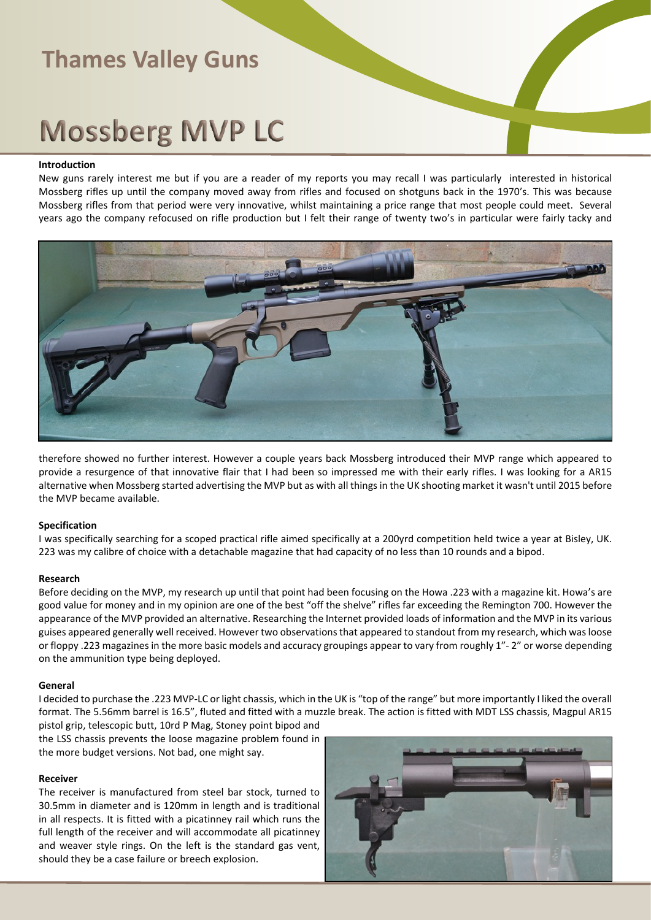## **Mossberg MVP LC**

#### **Introduction**

New guns rarely interest me but if you are a reader of my reports you may recall I was particularly interested in historical Mossberg rifles up until the company moved away from rifles and focused on shotguns back in the 1970's. This was because Mossberg rifles from that period were very innovative, whilst maintaining a price range that most people could meet. Several years ago the company refocused on rifle production but I felt their range of twenty two's in particular were fairly tacky and



therefore showed no further interest. However a couple years back Mossberg introduced their MVP range which appeared to provide a resurgence of that innovative flair that I had been so impressed me with their early rifles. I was looking for a AR15 alternative when Mossberg started advertising the MVP but as with all things in the UK shooting market it wasn't until 2015 before the MVP became available.

#### **Specification**

I was specifically searching for a scoped practical rifle aimed specifically at a 200yrd competition held twice a year at Bisley, UK. 223 was my calibre of choice with a detachable magazine that had capacity of no less than 10 rounds and a bipod.

#### **Research**

Before deciding on the MVP, my research up until that point had been focusing on the Howa .223 with a magazine kit. Howa's are good value for money and in my opinion are one of the best "off the shelve" rifles far exceeding the Remington 700. However the appearance of the MVP provided an alternative. Researching the Internet provided loads of information and the MVP in its various guises appeared generally well received. However two observations that appeared to standout from my research, which was loose or floppy .223 magazines in the more basic models and accuracy groupings appear to vary from roughly 1"- 2" or worse depending on the ammunition type being deployed.

#### **General**

I decided to purchase the .223 MVP-LC or light chassis, which in the UK is "top of the range" but more importantly I liked the overall format. The 5.56mm barrel is 16.5", fluted and fitted with a muzzle break. The action is fitted with MDT LSS chassis, Magpul AR15 pistol grip, telescopic butt, 10rd P Mag, Stoney point bipod and

the LSS chassis prevents the loose magazine problem found in the more budget versions. Not bad, one might say.

#### **Receiver**

The receiver is manufactured from steel bar stock, turned to 30.5mm in diameter and is 120mm in length and is traditional in all respects. It is fitted with a picatinney rail which runs the full length of the receiver and will accommodate all picatinney and weaver style rings. On the left is the standard gas vent, should they be a case failure or breech explosion.

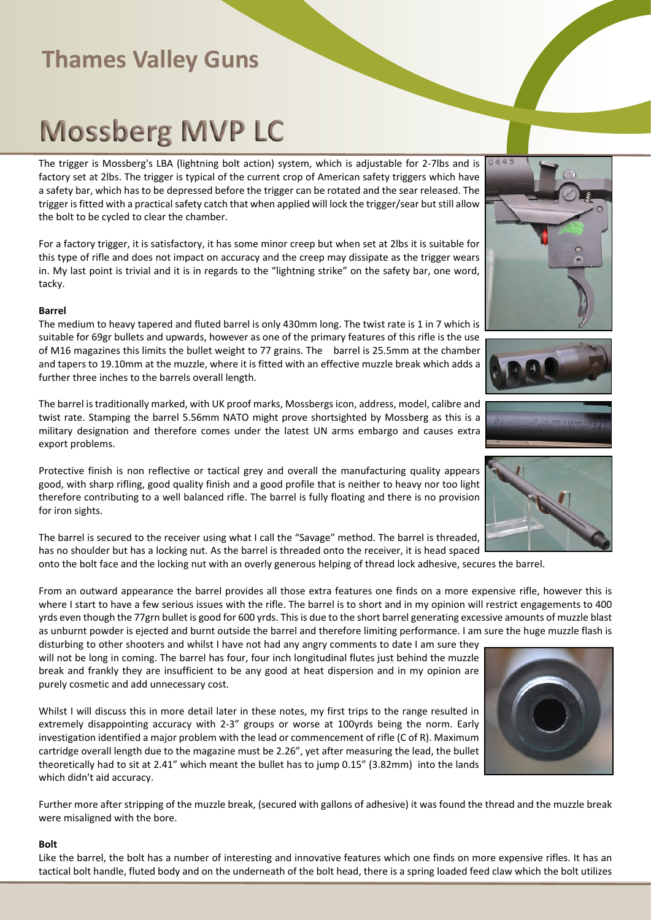# **Mossberg MVP LC**

The trigger is Mossberg's LBA (lightning bolt action) system, which is adjustable for 2-7lbs and is factory set at 2lbs. The trigger is typical of the current crop of American safety triggers which have a safety bar, which has to be depressed before the trigger can be rotated and the sear released. The trigger is fitted with a practical safety catch that when applied will lock the trigger/sear but still allow the bolt to be cycled to clear the chamber.

For a factory trigger, it is satisfactory, it has some minor creep but when set at 2lbs it is suitable for this type of rifle and does not impact on accuracy and the creep may dissipate as the trigger wears in. My last point is trivial and it is in regards to the "lightning strike" on the safety bar, one word, tacky.

#### **Barrel**

The medium to heavy tapered and fluted barrel is only 430mm long. The twist rate is 1 in 7 which is suitable for 69gr bullets and upwards, however as one of the primary features of this rifle is the use of M16 magazines this limits the bullet weight to 77 grains. The barrel is 25.5mm at the chamber and tapers to 19.10mm at the muzzle, where it is fitted with an effective muzzle break which adds a further three inches to the barrels overall length.

The barrel is traditionally marked, with UK proof marks, Mossbergs icon, address, model, calibre and twist rate. Stamping the barrel 5.56mm NATO might prove shortsighted by Mossberg as this is a military designation and therefore comes under the latest UN arms embargo and causes extra export problems.

Protective finish is non reflective or tactical grey and overall the manufacturing quality appears good, with sharp rifling, good quality finish and a good profile that is neither to heavy nor too light therefore contributing to a well balanced rifle. The barrel is fully floating and there is no provision for iron sights.

The barrel is secured to the receiver using what I call the "Savage" method. The barrel is threaded, has no shoulder but has a locking nut. As the barrel is threaded onto the receiver, it is head spaced

onto the bolt face and the locking nut with an overly generous helping of thread lock adhesive, secures the barrel.

From an outward appearance the barrel provides all those extra features one finds on a more expensive rifle, however this is where I start to have a few serious issues with the rifle. The barrel is to short and in my opinion will restrict engagements to 400 yrds even though the 77grn bullet is good for 600 yrds. This is due to the short barrel generating excessive amounts of muzzle blast as unburnt powder is ejected and burnt outside the barrel and therefore limiting performance. I am sure the huge muzzle flash is

disturbing to other shooters and whilst I have not had any angry comments to date I am sure they will not be long in coming. The barrel has four, four inch longitudinal flutes just behind the muzzle break and frankly they are insufficient to be any good at heat dispersion and in my opinion are purely cosmetic and add unnecessary cost.

Whilst I will discuss this in more detail later in these notes, my first trips to the range resulted in extremely disappointing accuracy with 2-3" groups or worse at 100yrds being the norm. Early investigation identified a major problem with the lead or commencement of rifle (C of R). Maximum cartridge overall length due to the magazine must be 2.26", yet after measuring the lead, the bullet theoretically had to sit at 2.41" which meant the bullet has to jump 0.15" (3.82mm) into the lands which didn't aid accuracy.

Further more after stripping of the muzzle break, (secured with gallons of adhesive) it was found the thread and the muzzle break were misaligned with the bore.

#### **Bolt**

Like the barrel, the bolt has a number of interesting and innovative features which one finds on more expensive rifles. It has an tactical bolt handle, fluted body and on the underneath of the bolt head, there is a spring loaded feed claw which the bolt utilizes









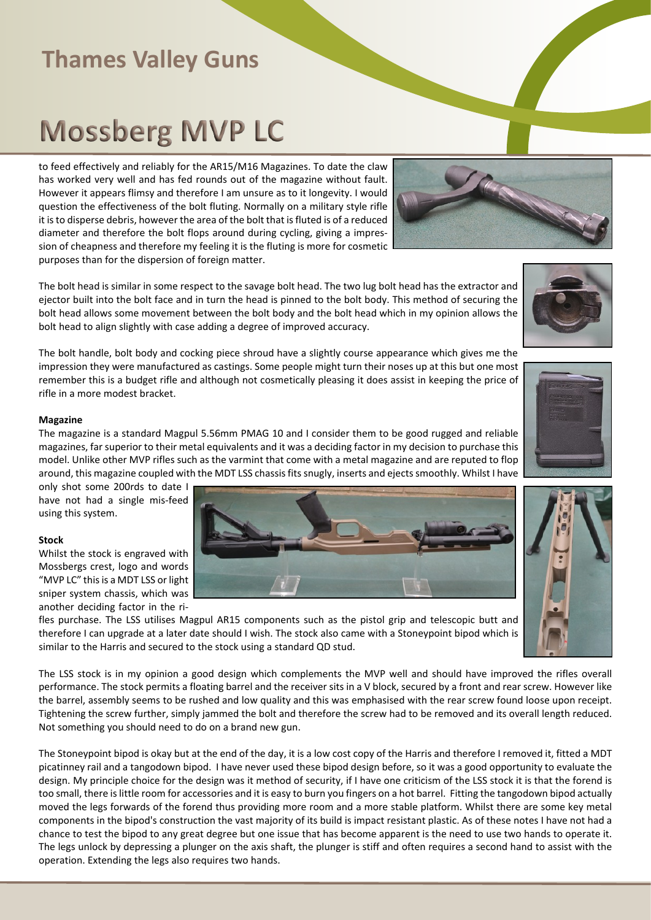# **Mossberg MVP LC**

to feed effectively and reliably for the AR15/M16 Magazines. To date the claw has worked very well and has fed rounds out of the magazine without fault. However it appears flimsy and therefore I am unsure as to it longevity. I would question the effectiveness of the bolt fluting. Normally on a military style rifle it is to disperse debris, however the area of the bolt that is fluted is of a reduced diameter and therefore the bolt flops around during cycling, giving a impression of cheapness and therefore my feeling it is the fluting is more for cosmetic purposes than for the dispersion of foreign matter.

The bolt head is similar in some respect to the savage bolt head. The two lug bolt head has the extractor and ejector built into the bolt face and in turn the head is pinned to the bolt body. This method of securing the bolt head allows some movement between the bolt body and the bolt head which in my opinion allows the bolt head to align slightly with case adding a degree of improved accuracy.

The bolt handle, bolt body and cocking piece shroud have a slightly course appearance which gives me the impression they were manufactured as castings. Some people might turn their noses up at this but one most remember this is a budget rifle and although not cosmetically pleasing it does assist in keeping the price of rifle in a more modest bracket.

#### **Magazine**

The magazine is a standard Magpul 5.56mm PMAG 10 and I consider them to be good rugged and reliable magazines, far superior to their metal equivalents and it was a deciding factor in my decision to purchase this model. Unlike other MVP rifles such as the varmint that come with a metal magazine and are reputed to flop around, this magazine coupled with the MDT LSS chassis fits snugly, inserts and ejects smoothly. Whilst I have

only shot some 200rds to date I have not had a single mis-feed using this system.

#### **Stock**

Whilst the stock is engraved with Mossbergs crest, logo and words "MVP LC" this is a MDT LSS or light sniper system chassis, which was another deciding factor in the ri-

fles purchase. The LSS utilises Magpul AR15 components such as the pistol grip and telescopic butt and therefore I can upgrade at a later date should I wish. The stock also came with a Stoneypoint bipod which is similar to the Harris and secured to the stock using a standard QD stud.

The LSS stock is in my opinion a good design which complements the MVP well and should have improved the rifles overall performance. The stock permits a floating barrel and the receiver sits in a V block, secured by a front and rear screw. However like the barrel, assembly seems to be rushed and low quality and this was emphasised with the rear screw found loose upon receipt. Tightening the screw further, simply jammed the bolt and therefore the screw had to be removed and its overall length reduced. Not something you should need to do on a brand new gun.

The Stoneypoint bipod is okay but at the end of the day, it is a low cost copy of the Harris and therefore I removed it, fitted a MDT picatinney rail and a tangodown bipod. I have never used these bipod design before, so it was a good opportunity to evaluate the design. My principle choice for the design was it method of security, if I have one criticism of the LSS stock it is that the forend is too small, there is little room for accessories and it is easy to burn you fingers on a hot barrel. Fitting the tangodown bipod actually moved the legs forwards of the forend thus providing more room and a more stable platform. Whilst there are some key metal components in the bipod's construction the vast majority of its build is impact resistant plastic. As of these notes I have not had a chance to test the bipod to any great degree but one issue that has become apparent is the need to use two hands to operate it. The legs unlock by depressing a plunger on the axis shaft, the plunger is stiff and often requires a second hand to assist with the operation. Extending the legs also requires two hands.







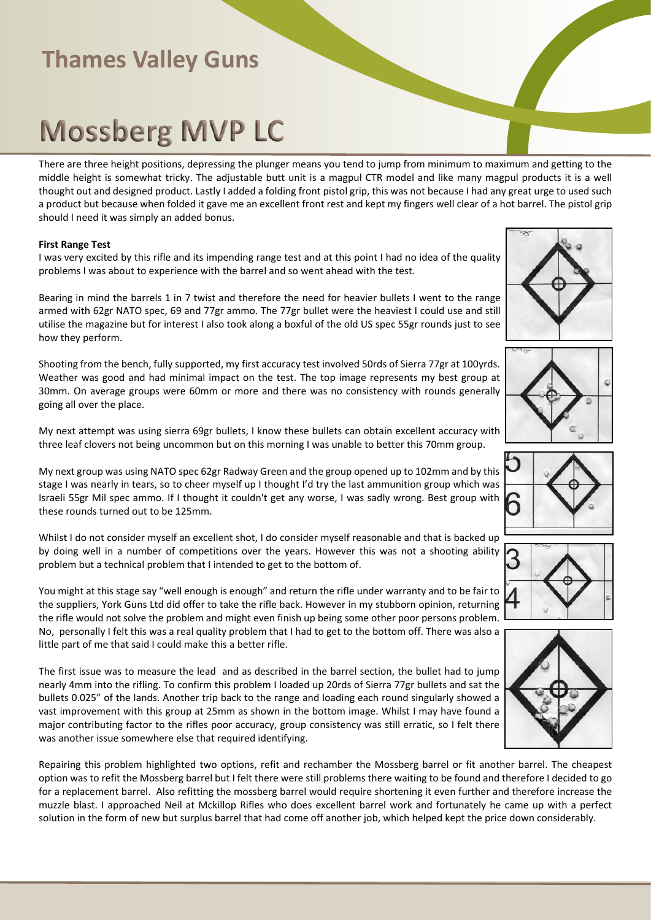## **Mossberg MVP LC**

There are three height positions, depressing the plunger means you tend to jump from minimum to maximum and getting to the middle height is somewhat tricky. The adjustable butt unit is a magpul CTR model and like many magpul products it is a well thought out and designed product. Lastly I added a folding front pistol grip, this was not because I had any great urge to used such a product but because when folded it gave me an excellent front rest and kept my fingers well clear of a hot barrel. The pistol grip should I need it was simply an added bonus.

#### **First Range Test**

I was very excited by this rifle and its impending range test and at this point I had no idea of the quality problems I was about to experience with the barrel and so went ahead with the test.

Bearing in mind the barrels 1 in 7 twist and therefore the need for heavier bullets I went to the range armed with 62gr NATO spec, 69 and 77gr ammo. The 77gr bullet were the heaviest I could use and still utilise the magazine but for interest I also took along a boxful of the old US spec 55gr rounds just to see how they perform.

Shooting from the bench, fully supported, my first accuracy test involved 50rds of Sierra 77gr at 100yrds. Weather was good and had minimal impact on the test. The top image represents my best group at 30mm. On average groups were 60mm or more and there was no consistency with rounds generally going all over the place.

My next attempt was using sierra 69gr bullets, I know these bullets can obtain excellent accuracy with three leaf clovers not being uncommon but on this morning I was unable to better this 70mm group.

My next group was using NATO spec 62gr Radway Green and the group opened up to 102mm and by this stage I was nearly in tears, so to cheer myself up I thought I'd try the last ammunition group which was Israeli 55gr Mil spec ammo. If I thought it couldn't get any worse, I was sadly wrong. Best group with these rounds turned out to be 125mm.

Whilst I do not consider myself an excellent shot, I do consider myself reasonable and that is backed up by doing well in a number of competitions over the years. However this was not a shooting ability problem but a technical problem that I intended to get to the bottom of.

You might at this stage say "well enough is enough" and return the rifle under warranty and to be fair to the suppliers, York Guns Ltd did offer to take the rifle back. However in my stubborn opinion, returning the rifle would not solve the problem and might even finish up being some other poor persons problem. No, personally I felt this was a real quality problem that I had to get to the bottom off. There was also a little part of me that said I could make this a better rifle.

The first issue was to measure the lead and as described in the barrel section, the bullet had to jump nearly 4mm into the rifling. To confirm this problem I loaded up 20rds of Sierra 77gr bullets and sat the bullets 0.025" of the lands. Another trip back to the range and loading each round singularly showed a vast improvement with this group at 25mm as shown in the bottom image. Whilst I may have found a major contributing factor to the rifles poor accuracy, group consistency was still erratic, so I felt there was another issue somewhere else that required identifying.

Repairing this problem highlighted two options, refit and rechamber the Mossberg barrel or fit another barrel. The cheapest option was to refit the Mossberg barrel but I felt there were still problems there waiting to be found and therefore I decided to go for a replacement barrel. Also refitting the mossberg barrel would require shortening it even further and therefore increase the muzzle blast. I approached Neil at Mckillop Rifles who does excellent barrel work and fortunately he came up with a perfect solution in the form of new but surplus barrel that had come off another job, which helped kept the price down considerably.









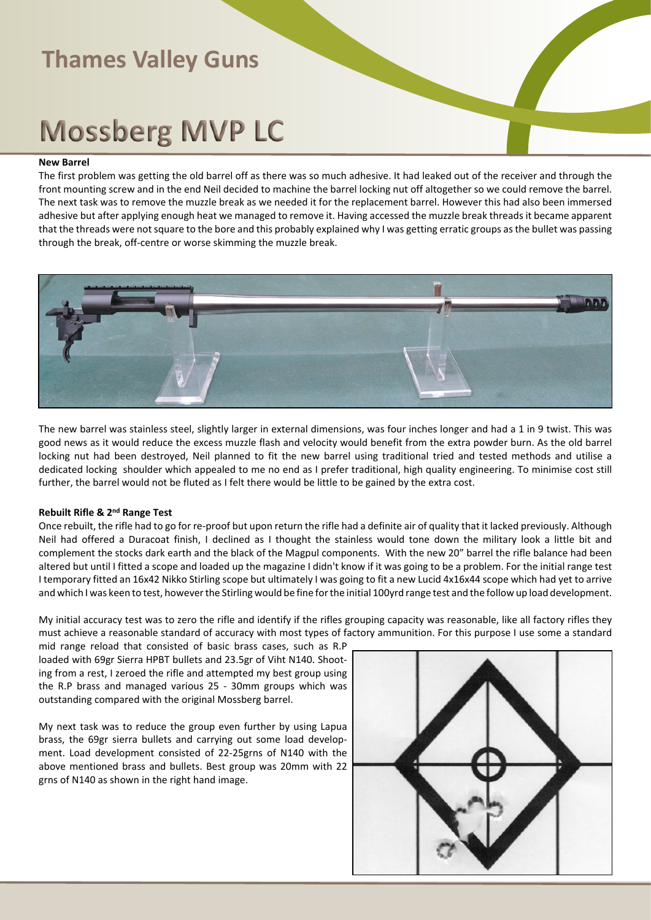# **Mossberg MVP LC**

#### **New Barrel**

The first problem was getting the old barrel off as there was so much adhesive. It had leaked out of the receiver and through the front mounting screw and in the end Neil decided to machine the barrel locking nut off altogether so we could remove the barrel. The next task was to remove the muzzle break as we needed it for the replacement barrel. However this had also been immersed adhesive but after applying enough heat we managed to remove it. Having accessed the muzzle break threads it became apparent that the threads were not square to the bore and this probably explained why I was getting erratic groups as the bullet was passing through the break, off-centre or worse skimming the muzzle break.



The new barrel was stainless steel, slightly larger in external dimensions, was four inches longer and had a 1 in 9 twist. This was good news as it would reduce the excess muzzle flash and velocity would benefit from the extra powder burn. As the old barrel locking nut had been destroyed, Neil planned to fit the new barrel using traditional tried and tested methods and utilise a dedicated locking shoulder which appealed to me no end as I prefer traditional, high quality engineering. To minimise cost still further, the barrel would not be fluted as I felt there would be little to be gained by the extra cost.

#### **Rebuilt Rifle & 2nd Range Test**

Once rebuilt, the rifle had to go for re-proof but upon return the rifle had a definite air of quality that it lacked previously. Although Neil had offered a Duracoat finish, I declined as I thought the stainless would tone down the military look a little bit and complement the stocks dark earth and the black of the Magpul components. With the new 20" barrel the rifle balance had been altered but until I fitted a scope and loaded up the magazine I didn't know if it was going to be a problem. For the initial range test I temporary fitted an 16x42 Nikko Stirling scope but ultimately I was going to fit a new Lucid 4x16x44 scope which had yet to arrive and which I was keen to test, however the Stirling would be fine for the initial 100yrd range test and the follow up load development.

My initial accuracy test was to zero the rifle and identify if the rifles grouping capacity was reasonable, like all factory rifles they must achieve a reasonable standard of accuracy with most types of factory ammunition. For this purpose I use some a standard

mid range reload that consisted of basic brass cases, such as R.P loaded with 69gr Sierra HPBT bullets and 23.5gr of Viht N140. Shooting from a rest, I zeroed the rifle and attempted my best group using the R.P brass and managed various 25 - 30mm groups which was outstanding compared with the original Mossberg barrel.

My next task was to reduce the group even further by using Lapua brass, the 69gr sierra bullets and carrying out some load development. Load development consisted of 22-25grns of N140 with the above mentioned brass and bullets. Best group was 20mm with 22 grns of N140 as shown in the right hand image.

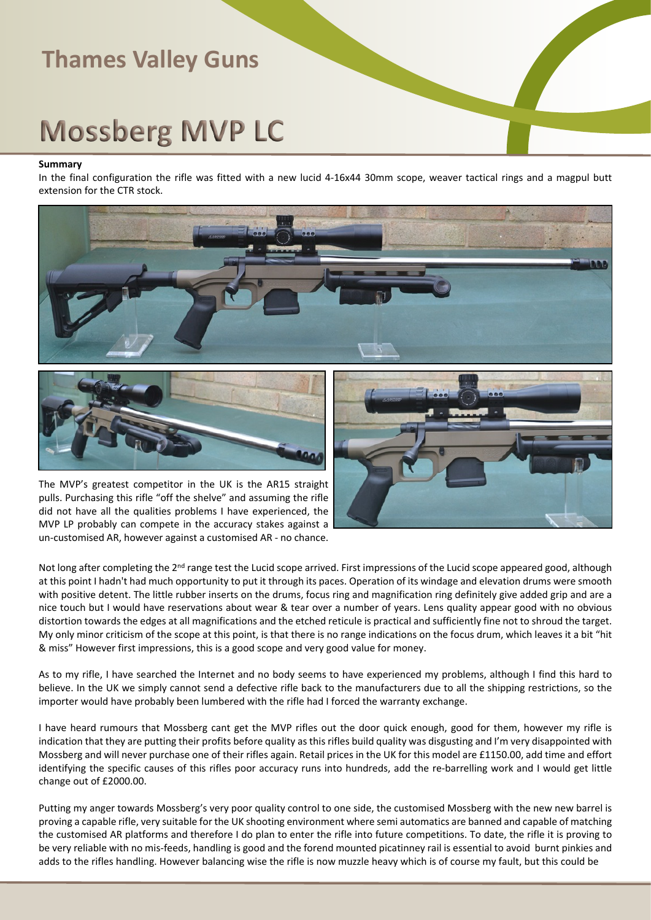# **Mossberg MVP LC**

#### **Summary**

In the final configuration the rifle was fitted with a new lucid 4-16x44 30mm scope, weaver tactical rings and a magpul butt extension for the CTR stock.





The MVP's greatest competitor in the UK is the AR15 straight pulls. Purchasing this rifle "off the shelve" and assuming the rifle did not have all the qualities problems I have experienced, the MVP LP probably can compete in the accuracy stakes against a un-customised AR, however against a customised AR - no chance.



Not long after completing the 2<sup>nd</sup> range test the Lucid scope arrived. First impressions of the Lucid scope appeared good, although at this point I hadn't had much opportunity to put it through its paces. Operation of its windage and elevation drums were smooth with positive detent. The little rubber inserts on the drums, focus ring and magnification ring definitely give added grip and are a nice touch but I would have reservations about wear & tear over a number of years. Lens quality appear good with no obvious distortion towards the edges at all magnifications and the etched reticule is practical and sufficiently fine not to shroud the target. My only minor criticism of the scope at this point, is that there is no range indications on the focus drum, which leaves it a bit "hit & miss" However first impressions, this is a good scope and very good value for money.

As to my rifle, I have searched the Internet and no body seems to have experienced my problems, although I find this hard to believe. In the UK we simply cannot send a defective rifle back to the manufacturers due to all the shipping restrictions, so the importer would have probably been lumbered with the rifle had I forced the warranty exchange.

I have heard rumours that Mossberg cant get the MVP rifles out the door quick enough, good for them, however my rifle is indication that they are putting their profits before quality as this rifles build quality was disgusting and I'm very disappointed with Mossberg and will never purchase one of their rifles again. Retail prices in the UK for this model are £1150.00, add time and effort identifying the specific causes of this rifles poor accuracy runs into hundreds, add the re-barrelling work and I would get little change out of £2000.00.

Putting my anger towards Mossberg's very poor quality control to one side, the customised Mossberg with the new new barrel is proving a capable rifle, very suitable for the UK shooting environment where semi automatics are banned and capable of matching the customised AR platforms and therefore I do plan to enter the rifle into future competitions. To date, the rifle it is proving to be very reliable with no mis-feeds, handling is good and the forend mounted picatinney rail is essential to avoid burnt pinkies and adds to the rifles handling. However balancing wise the rifle is now muzzle heavy which is of course my fault, but this could be